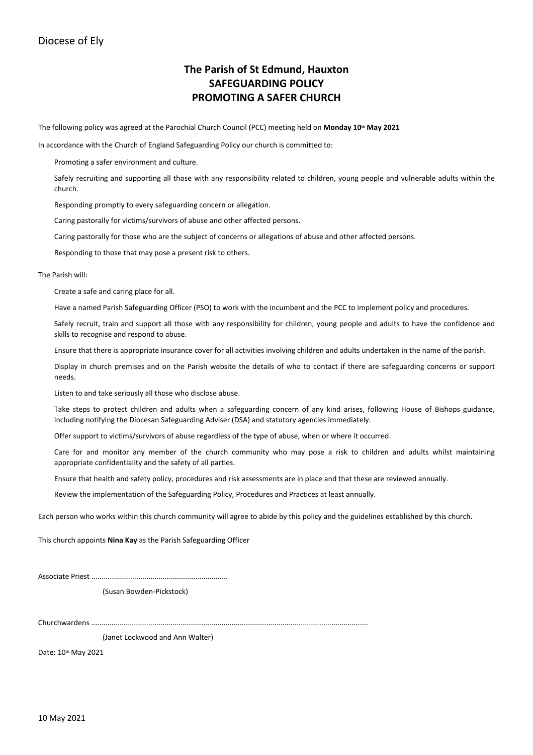### Diocese of Ely

## **The Parish of St Edmund, Hauxton SAFEGUARDING POLICY PROMOTING A SAFER CHURCH**

The following policy was agreed at the Parochial Church Council (PCC) meeting held on **Monday 10th May 2021**

In accordance with the Church of England Safeguarding Policy our church is committed to:

Promoting a safer environment and culture.

Safely recruiting and supporting all those with any responsibility related to children, young people and vulnerable adults within the church.

Responding promptly to every safeguarding concern or allegation.

Caring pastorally for victims/survivors of abuse and other affected persons.

Caring pastorally for those who are the subject of concerns or allegations of abuse and other affected persons.

Responding to those that may pose a present risk to others.

The Parish will:

Create a safe and caring place for all.

Have a named Parish Safeguarding Officer (PSO) to work with the incumbent and the PCC to implement policy and procedures.

Safely recruit, train and support all those with any responsibility for children, young people and adults to have the confidence and skills to recognise and respond to abuse.

Ensure that there is appropriate insurance cover for all activities involving children and adults undertaken in the name of the parish.

Display in church premises and on the Parish website the details of who to contact if there are safeguarding concerns or support needs.

Listen to and take seriously all those who disclose abuse.

Take steps to protect children and adults when a safeguarding concern of any kind arises, following House of Bishops guidance, including notifying the Diocesan Safeguarding Adviser (DSA) and statutory agencies immediately.

Offer support to victims/survivors of abuse regardless of the type of abuse, when or where it occurred.

Care for and monitor any member of the church community who may pose a risk to children and adults whilst maintaining appropriate confidentiality and the safety of all parties.

Ensure that health and safety policy, procedures and risk assessments are in place and that these are reviewed annually.

Review the implementation of the Safeguarding Policy, Procedures and Practices at least annually.

Each person who works within this church community will agree to abide by this policy and the guidelines established by this church.

This church appoints **Nina Kay** as the Parish Safeguarding Officer

Associate Priest ...................................................................

(Susan Bowden-Pickstock)

Churchwardens ........................................................................................................................................

(Janet Lockwood and Ann Walter)

Date: 10th May 2021